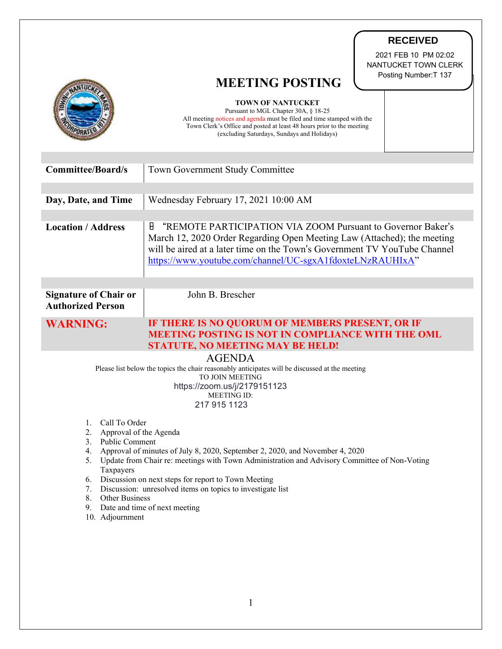|                                                                                                                                                                                                                                                                                                                                                                                                                                                                                                | <b>RECEIVED</b><br>2021 FEB 10 PM 02:02<br>NANTUCKET TOWN CLERK<br>Posting Number: T 137<br><b>MEETING POSTING</b><br><b>TOWN OF NANTUCKET</b><br>Pursuant to MGL Chapter 30A, § 18-25<br>All meeting notices and agenda must be filed and time stamped with the<br>Town Clerk's Office and posted at least 48 hours prior to the meeting<br>(excluding Saturdays, Sundays and Holidays) |
|------------------------------------------------------------------------------------------------------------------------------------------------------------------------------------------------------------------------------------------------------------------------------------------------------------------------------------------------------------------------------------------------------------------------------------------------------------------------------------------------|------------------------------------------------------------------------------------------------------------------------------------------------------------------------------------------------------------------------------------------------------------------------------------------------------------------------------------------------------------------------------------------|
| <b>Committee/Board/s</b>                                                                                                                                                                                                                                                                                                                                                                                                                                                                       | Town Government Study Committee                                                                                                                                                                                                                                                                                                                                                          |
| Day, Date, and Time                                                                                                                                                                                                                                                                                                                                                                                                                                                                            | Wednesday February 17, 2021 10:00 AM                                                                                                                                                                                                                                                                                                                                                     |
| <b>Location / Address</b>                                                                                                                                                                                                                                                                                                                                                                                                                                                                      | θ<br>"REMOTE PARTICIPATION VIA ZOOM Pursuant to Governor Baker's<br>March 12, 2020 Order Regarding Open Meeting Law (Attached); the meeting<br>will be aired at a later time on the Town's Government TV YouTube Channel<br>https://www.youtube.com/channel/UC-sgxA1fdoxteLNzRAUHIxA"                                                                                                    |
| <b>Signature of Chair or</b><br><b>Authorized Person</b>                                                                                                                                                                                                                                                                                                                                                                                                                                       | John B. Brescher                                                                                                                                                                                                                                                                                                                                                                         |
| <b>WARNING:</b>                                                                                                                                                                                                                                                                                                                                                                                                                                                                                | IF THERE IS NO QUORUM OF MEMBERS PRESENT, OR IF<br><b>MEETING POSTING IS NOT IN COMPLIANCE WITH THE OML</b><br><b>STATUTE, NO MEETING MAY BE HELD!</b>                                                                                                                                                                                                                                   |
| <b>AGENDA</b><br>Please list below the topics the chair reasonably anticipates will be discussed at the meeting<br>TO JOIN MEETING<br>https://zoom.us/j/2179151123<br><b>MEETING ID:</b><br>217 915 1123                                                                                                                                                                                                                                                                                       |                                                                                                                                                                                                                                                                                                                                                                                          |
| Call To Order<br>1.<br>Approval of the Agenda<br>2.<br>3. Public Comment<br>Approval of minutes of July 8, 2020, September 2, 2020, and November 4, 2020<br>4.<br>5. Update from Chair re: meetings with Town Administration and Advisory Committee of Non-Voting<br>Taxpayers<br>Discussion on next steps for report to Town Meeting<br>6.<br>Discussion: unresolved items on topics to investigate list<br>7.<br>8. Other Business<br>Date and time of next meeting<br>9.<br>10. Adjournment |                                                                                                                                                                                                                                                                                                                                                                                          |

1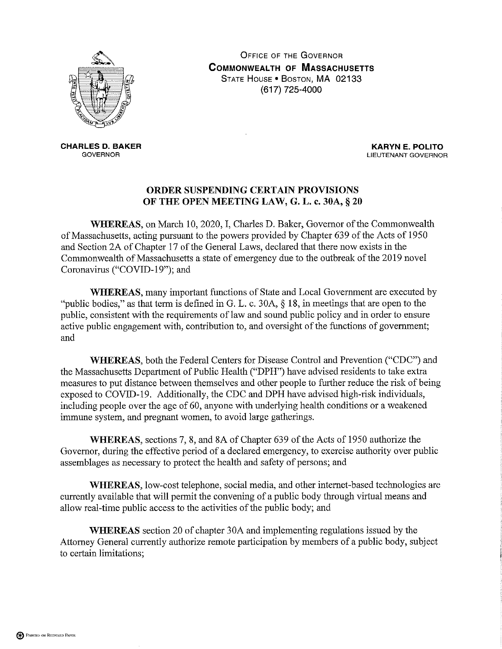

**OFFICE OF THE GOVERNOR COMMONWEALTH OF MASSACHUSETTS** STATE HOUSE . BOSTON, MA 02133 (617) 725-4000

**CHARLES D. BAKER GOVERNOR** 

**KARYN E. POLITO** LIEUTENANT GOVERNOR

## ORDER SUSPENDING CERTAIN PROVISIONS OF THE OPEN MEETING LAW, G. L. c. 30A, § 20

WHEREAS, on March 10, 2020, I, Charles D. Baker, Governor of the Commonwealth of Massachusetts, acting pursuant to the powers provided by Chapter 639 of the Acts of 1950 and Section 2A of Chapter 17 of the General Laws, declared that there now exists in the Commonwealth of Massachusetts a state of emergency due to the outbreak of the 2019 novel Coronavirus ("COVID-19"); and

**WHEREAS**, many important functions of State and Local Government are executed by "public bodies," as that term is defined in G. L. c. 30A,  $\S$  18, in meetings that are open to the public, consistent with the requirements of law and sound public policy and in order to ensure active public engagement with, contribution to, and oversight of the functions of government; and

WHEREAS, both the Federal Centers for Disease Control and Prevention ("CDC") and the Massachusetts Department of Public Health ("DPH") have advised residents to take extra measures to put distance between themselves and other people to further reduce the risk of being exposed to COVID-19. Additionally, the CDC and DPH have advised high-risk individuals, including people over the age of 60, anyone with underlying health conditions or a weakened immune system, and pregnant women, to avoid large gatherings.

WHEREAS, sections 7, 8, and 8A of Chapter 639 of the Acts of 1950 authorize the Governor, during the effective period of a declared emergency, to exercise authority over public assemblages as necessary to protect the health and safety of persons; and

WHEREAS, low-cost telephone, social media, and other internet-based technologies are currently available that will permit the convening of a public body through virtual means and allow real-time public access to the activities of the public body; and

**WHEREAS** section 20 of chapter 30A and implementing regulations issued by the Attorney General currently authorize remote participation by members of a public body, subject to certain limitations;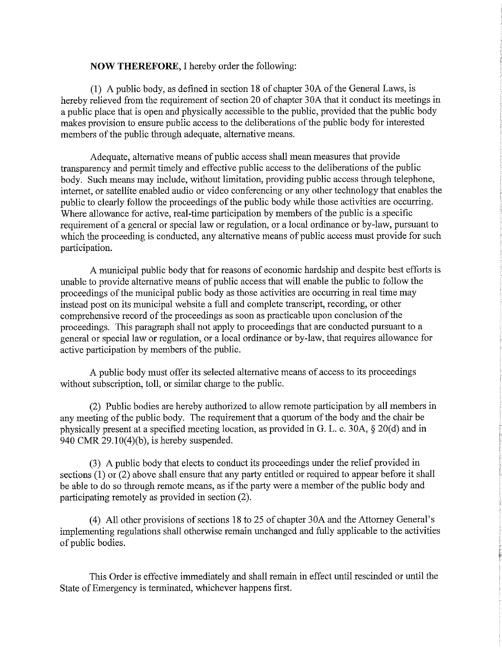## **NOW THEREFORE, I hereby order the following:**

(1) A public body, as defined in section 18 of chapter 30A of the General Laws, is hereby relieved from the requirement of section 20 of chapter 30A that it conduct its meetings in a public place that is open and physically accessible to the public, provided that the public body makes provision to ensure public access to the deliberations of the public body for interested members of the public through adequate, alternative means.

Adequate, alternative means of public access shall mean measures that provide transparency and permit timely and effective public access to the deliberations of the public body. Such means may include, without limitation, providing public access through telephone, internet, or satellite enabled audio or video conferencing or any other technology that enables the public to clearly follow the proceedings of the public body while those activities are occurring. Where allowance for active, real-time participation by members of the public is a specific requirement of a general or special law or regulation, or a local ordinance or by-law, pursuant to which the proceeding is conducted, any alternative means of public access must provide for such participation.

A municipal public body that for reasons of economic hardship and despite best efforts is unable to provide alternative means of public access that will enable the public to follow the proceedings of the municipal public body as those activities are occurring in real time may instead post on its municipal website a full and complete transcript, recording, or other comprehensive record of the proceedings as soon as practicable upon conclusion of the proceedings. This paragraph shall not apply to proceedings that are conducted pursuant to a general or special law or regulation, or a local ordinance or by-law, that requires allowance for active participation by members of the public.

A public body must offer its selected alternative means of access to its proceedings without subscription, toll, or similar charge to the public.

(2) Public bodies are hereby authorized to allow remote participation by all members in any meeting of the public body. The requirement that a quorum of the body and the chair be physically present at a specified meeting location, as provided in G. L. c. 30A, § 20(d) and in 940 CMR  $29.10(4)(b)$ , is hereby suspended.

(3) A public body that elects to conduct its proceedings under the relief provided in sections  $(1)$  or  $(2)$  above shall ensure that any party entitled or required to appear before it shall be able to do so through remote means, as if the party were a member of the public body and participating remotely as provided in section (2).

(4) All other provisions of sections 18 to 25 of chapter 30A and the Attorney General's implementing regulations shall otherwise remain unchanged and fully applicable to the activities of public bodies.

This Order is effective immediately and shall remain in effect until rescinded or until the State of Emergency is terminated, whichever happens first.